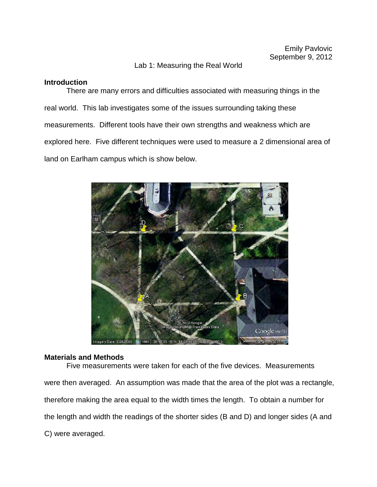# Lab 1: Measuring the Real World

# **Introduction**

There are many errors and difficulties associated with measuring things in the real world. This lab investigates some of the issues surrounding taking these measurements. Different tools have their own strengths and weakness which are explored here. Five different techniques were used to measure a 2 dimensional area of land on Earlham campus which is show below.



# **Materials and Methods**

Five measurements were taken for each of the five devices. Measurements were then averaged. An assumption was made that the area of the plot was a rectangle, therefore making the area equal to the width times the length. To obtain a number for the length and width the readings of the shorter sides (B and D) and longer sides (A and C) were averaged.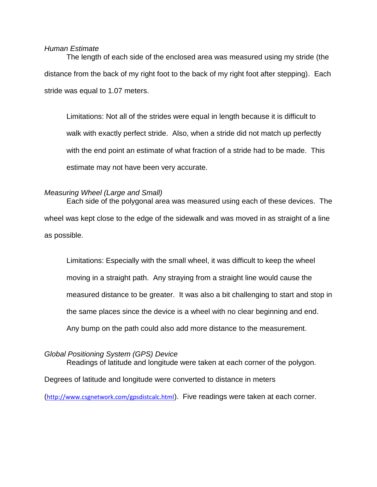### *Human Estimate*

The length of each side of the enclosed area was measured using my stride (the distance from the back of my right foot to the back of my right foot after stepping). Each stride was equal to 1.07 meters.

Limitations: Not all of the strides were equal in length because it is difficult to walk with exactly perfect stride. Also, when a stride did not match up perfectly with the end point an estimate of what fraction of a stride had to be made. This estimate may not have been very accurate.

# *Measuring Wheel (Large and Small)*

Each side of the polygonal area was measured using each of these devices. The wheel was kept close to the edge of the sidewalk and was moved in as straight of a line as possible.

Limitations: Especially with the small wheel, it was difficult to keep the wheel moving in a straight path. Any straying from a straight line would cause the measured distance to be greater. It was also a bit challenging to start and stop in the same places since the device is a wheel with no clear beginning and end. Any bump on the path could also add more distance to the measurement.

## *Global Positioning System (GPS) Device*

Readings of latitude and longitude were taken at each corner of the polygon. Degrees of latitude and longitude were converted to distance in meters

(<http://www.csgnetwork.com/gpsdistcalc.html>). Five readings were taken at each corner.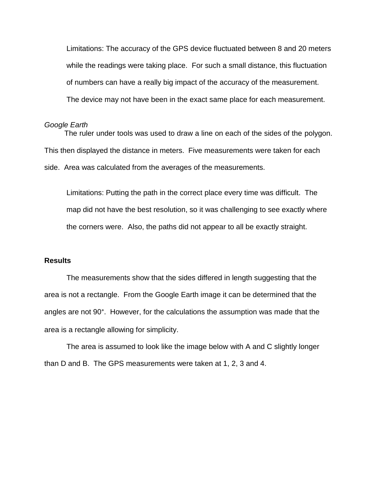Limitations: The accuracy of the GPS device fluctuated between 8 and 20 meters while the readings were taking place. For such a small distance, this fluctuation of numbers can have a really big impact of the accuracy of the measurement. The device may not have been in the exact same place for each measurement.

#### *Google Earth*

The ruler under tools was used to draw a line on each of the sides of the polygon. This then displayed the distance in meters. Five measurements were taken for each side. Area was calculated from the averages of the measurements.

Limitations: Putting the path in the correct place every time was difficult. The map did not have the best resolution, so it was challenging to see exactly where the corners were. Also, the paths did not appear to all be exactly straight.

## **Results**

The measurements show that the sides differed in length suggesting that the area is not a rectangle. From the Google Earth image it can be determined that the angles are not 90°. However, for the calculations the assumption was made that the area is a rectangle allowing for simplicity.

The area is assumed to look like the image below with A and C slightly longer than D and B. The GPS measurements were taken at 1, 2, 3 and 4.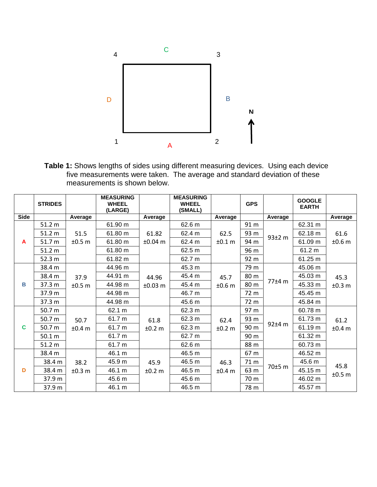

**Table 1:** Shows lengths of sides using different measuring devices. Using each device five measurements were taken. The average and standard deviation of these measurements is shown below.

|              | <b>STRIDES</b> |                | <b>MEASURING</b><br><b>WHEEL</b><br>(LARGE) |                    | <b>MEASURING</b><br><b>WHEEL</b><br>(SMALL) |                | <b>GPS</b> |         | <b>GOOGLE</b><br><b>EARTH</b> |                |
|--------------|----------------|----------------|---------------------------------------------|--------------------|---------------------------------------------|----------------|------------|---------|-------------------------------|----------------|
| <b>Side</b>  |                | Average        |                                             | Average            |                                             | Average        |            | Average |                               | Average        |
| $\mathbf{A}$ | 51.2 m         | 51.5<br>±0.5 m | 61.90 m                                     | 61.82<br>$±0.04$ m | 62.6 m                                      | 62.5<br>±0.1 m | 91 m       | 93±2 m  | 62.31 m                       |                |
|              | 51.2 m         |                | 61.80 m                                     |                    | 62.4 m                                      |                | 93 m       |         | 62.18 m                       | 61.6           |
|              | 51.7 m         |                | 61.80 m                                     |                    | 62.4 m                                      |                | 94 m       |         | 61.09 m                       | ±0.6m          |
|              | 51.2 m         |                | 61.80 m                                     |                    | 62.5 m                                      |                | 96 m       |         | 61.2 m                        |                |
|              | 52.3 m         |                | 61.82 m                                     |                    | 62.7 m                                      |                | 92 m       |         | 61.25 m                       |                |
| В            | 38.4 m         | 37.9<br>±0.5 m | 44.96 m                                     | 44.96<br>$±0.03$ m | 45.3 m                                      | 45.7<br>±0.6 m | 79 m       | 77±4 m  | 45.06 m                       |                |
|              | 38.4 m         |                | 44.91 m                                     |                    | 45.4 m                                      |                | 80 m       |         | 45.03 m                       | 45.3           |
|              | 37.3 m         |                | 44.98 m                                     |                    | 45.4 m                                      |                | 80 m       |         | 45.33 m                       | ±0.3 m         |
|              | 37.9 m         |                | 44.98 m                                     |                    | 46.7 m                                      |                | 72 m       |         | 45.45 m                       |                |
|              | 37.3 m         |                | 44.98 m                                     |                    | 45.6 m                                      |                | 72 m       |         | 45.84 m                       |                |
| C            | 50.7 m         | 50.7<br>±0.4 m | 62.1 m                                      | 61.8<br>±0.2 m     | 62.3 m                                      | 62.4<br>±0.2 m | 97 m       | 92±4 m  | 60.78 m                       |                |
|              | 50.7 m         |                | 61.7 m                                      |                    | 62.3 m                                      |                | 93 m       |         | 61.73 m                       | 61.2           |
|              | 50.7 m         |                | 61.7 m                                      |                    | 62.3 m                                      |                | 90 m       |         | 61.19 m                       | ±0.4 m         |
|              | 50.1 m         |                | 61.7 m                                      |                    | 62.7 m                                      |                | 90 m       |         | 61.32 m                       |                |
|              | 51.2 m         |                | 61.7 m                                      |                    | 62.6 m                                      |                | 88 m       |         | 60.73 m                       |                |
| D            | 38.4 m         | 38.2<br>±0.3 m | 46.1 m                                      | 45.9<br>±0.2 m     | 46.5 m                                      | 46.3<br>±0.4 m | 67 m       | 70±5 m  | 46.52 m                       |                |
|              | 38.4 m         |                | 45.9 m                                      |                    | 46.5 m                                      |                | 71 m       |         | 45.6 m                        |                |
|              | 38.4 m         |                | 46.1 m                                      |                    | 46.5 m                                      |                | 63 m       |         | 45.15 m                       | 45.8<br>±0.5 m |
|              | 37.9 m         |                | 45.6 m                                      |                    | 45.6 m                                      |                | 70 m       |         | 46.02 m                       |                |
|              | 37.9 m         |                | 46.1 m                                      |                    | 46.5 m                                      |                | 78 m       |         | 45.57 m                       |                |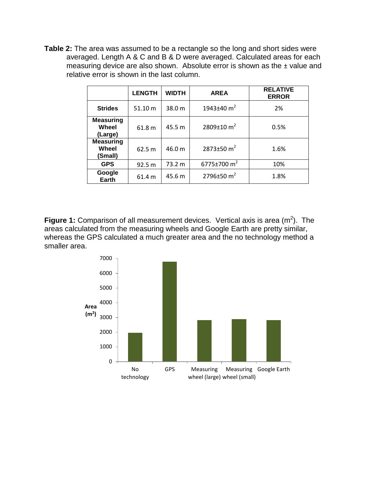**Table 2:** The area was assumed to be a rectangle so the long and short sides were averaged. Length A & C and B & D were averaged. Calculated areas for each measuring device are also shown. Absolute error is shown as the ± value and relative error is shown in the last column.

|                                      | <b>LENGTH</b> | <b>WIDTH</b> | <b>AREA</b>                  | <b>RELATIVE</b><br><b>ERROR</b> |
|--------------------------------------|---------------|--------------|------------------------------|---------------------------------|
| <b>Strides</b>                       | 51.10 m       | 38.0 m       | 1943 $\pm$ 40 m <sup>2</sup> | 2%                              |
| <b>Measuring</b><br>Wheel<br>(Large) | 61.8 m        | 45.5 m       | 2809 $\pm$ 10 m <sup>2</sup> | 0.5%                            |
| <b>Measuring</b><br>Wheel<br>(Small) | 62.5 m        | 46.0 m       | 2873±50 $m2$                 | 1.6%                            |
| <b>GPS</b>                           | 92.5 m        | 73.2 m       | 6775±700 $m2$                | 10%                             |
| Google<br><b>Earth</b>               | 61.4 m        | 45.6 m       | 2796 $\pm$ 50 m <sup>2</sup> | 1.8%                            |

**Figure 1:** Comparison of all measurement devices. Vertical axis is area  $(m^2)$ . The areas calculated from the measuring wheels and Google Earth are pretty similar, whereas the GPS calculated a much greater area and the no technology method a smaller area.

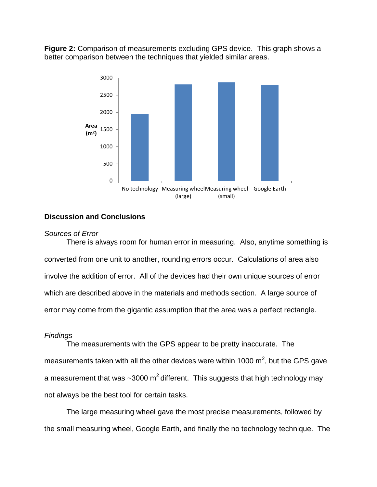**Figure 2:** Comparison of measurements excluding GPS device. This graph shows a better comparison between the techniques that yielded similar areas.



# **Discussion and Conclusions**

### *Sources of Error*

There is always room for human error in measuring. Also, anytime something is converted from one unit to another, rounding errors occur. Calculations of area also involve the addition of error. All of the devices had their own unique sources of error which are described above in the materials and methods section. A large source of error may come from the gigantic assumption that the area was a perfect rectangle.

## *Findings*

The measurements with the GPS appear to be pretty inaccurate. The measurements taken with all the other devices were within 1000  $\text{m}^2$ , but the GPS gave a measurement that was  $\sim$ 3000 m<sup>2</sup> different. This suggests that high technology may not always be the best tool for certain tasks.

The large measuring wheel gave the most precise measurements, followed by the small measuring wheel, Google Earth, and finally the no technology technique. The